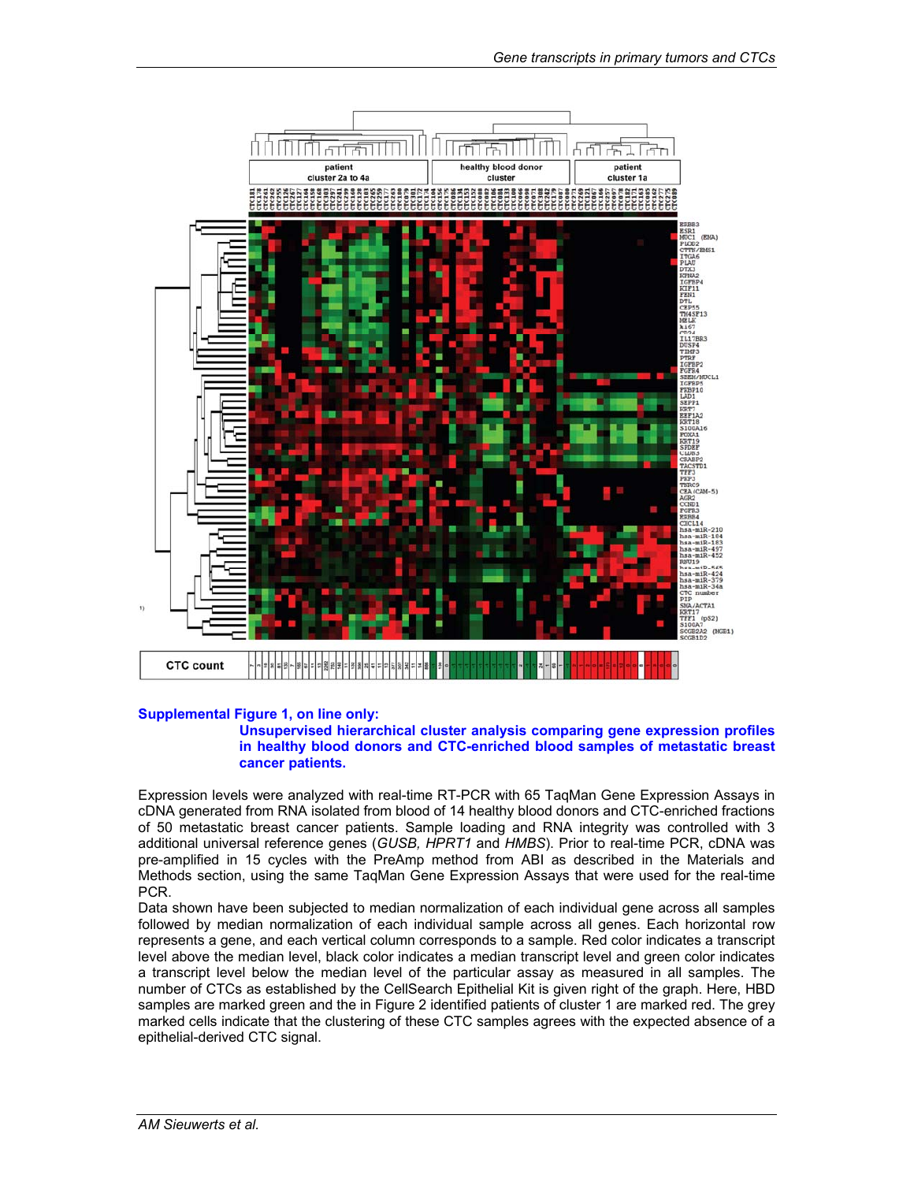

### **Supplemental Figure 1, on line only:**

#### **Unsupervised hierarchical cluster analysis comparing gene expression profiles in healthy blood donors and CTC-enriched blood samples of metastatic breast cancer patients.**

Expression levels were analyzed with real-time RT-PCR with 65 TaqMan Gene Expression Assays in cDNA generated from RNA isolated from blood of 14 healthy blood donors and CTC-enriched fractions of 50 metastatic breast cancer patients. Sample loading and RNA integrity was controlled with 3 additional universal reference genes (*GUSB, HPRT1* and *HMBS*). Prior to real-time PCR, cDNA was pre-amplified in 15 cycles with the PreAmp method from ABI as described in the Materials and Methods section, using the same TaqMan Gene Expression Assays that were used for the real-time PCR.

Data shown have been subjected to median normalization of each individual gene across all samples followed by median normalization of each individual sample across all genes. Each horizontal row represents a gene, and each vertical column corresponds to a sample. Red color indicates a transcript level above the median level, black color indicates a median transcript level and green color indicates a transcript level below the median level of the particular assay as measured in all samples. The number of CTCs as established by the CellSearch Epithelial Kit is given right of the graph. Here, HBD samples are marked green and the in Figure 2 identified patients of cluster 1 are marked red. The grey marked cells indicate that the clustering of these CTC samples agrees with the expected absence of a epithelial-derived CTC signal.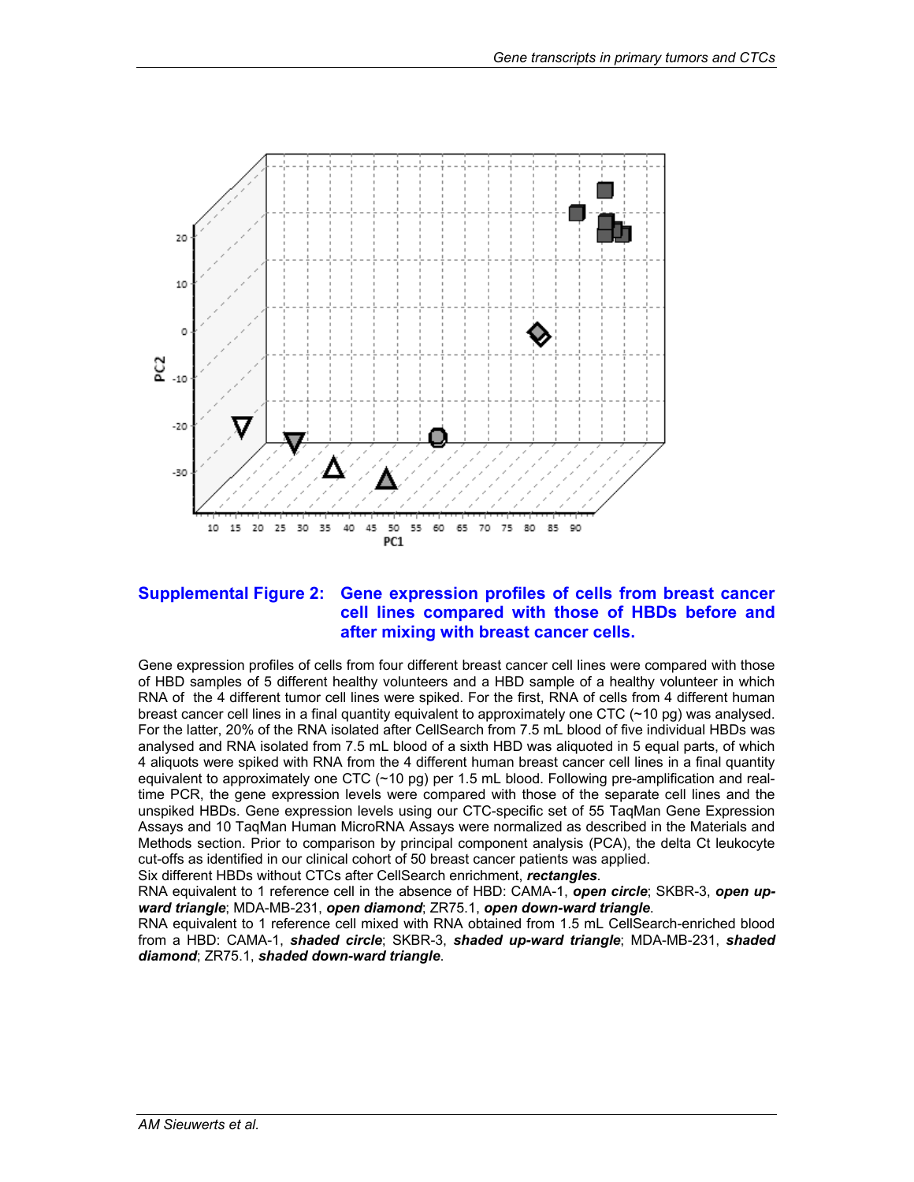

### **Supplemental Figure 2: Gene expression profiles of cells from breast cancer cell lines compared with those of HBDs before and after mixing with breast cancer cells.**

Gene expression profiles of cells from four different breast cancer cell lines were compared with those of HBD samples of 5 different healthy volunteers and a HBD sample of a healthy volunteer in which RNA of the 4 different tumor cell lines were spiked. For the first, RNA of cells from 4 different human breast cancer cell lines in a final quantity equivalent to approximately one CTC (~10 pg) was analysed. For the latter, 20% of the RNA isolated after CellSearch from 7.5 mL blood of five individual HBDs was analysed and RNA isolated from 7.5 mL blood of a sixth HBD was aliquoted in 5 equal parts, of which 4 aliquots were spiked with RNA from the 4 different human breast cancer cell lines in a final quantity equivalent to approximately one CTC (~10 pg) per 1.5 mL blood. Following pre-amplification and realtime PCR, the gene expression levels were compared with those of the separate cell lines and the unspiked HBDs. Gene expression levels using our CTC-specific set of 55 TaqMan Gene Expression Assays and 10 TaqMan Human MicroRNA Assays were normalized as described in the Materials and Methods section. Prior to comparison by principal component analysis (PCA), the delta Ct leukocyte cut-offs as identified in our clinical cohort of 50 breast cancer patients was applied.

Six different HBDs without CTCs after CellSearch enrichment, *rectangles*.

RNA equivalent to 1 reference cell in the absence of HBD: CAMA-1, *open circle*; SKBR-3, *open upward triangle*; MDA-MB-231, *open diamond*; ZR75.1, *open down-ward triangle*.

RNA equivalent to 1 reference cell mixed with RNA obtained from 1.5 mL CellSearch-enriched blood from a HBD: CAMA-1, *shaded circle*; SKBR-3, *shaded up-ward triangle*; MDA-MB-231, *shaded diamond*; ZR75.1, *shaded down-ward triangle*.